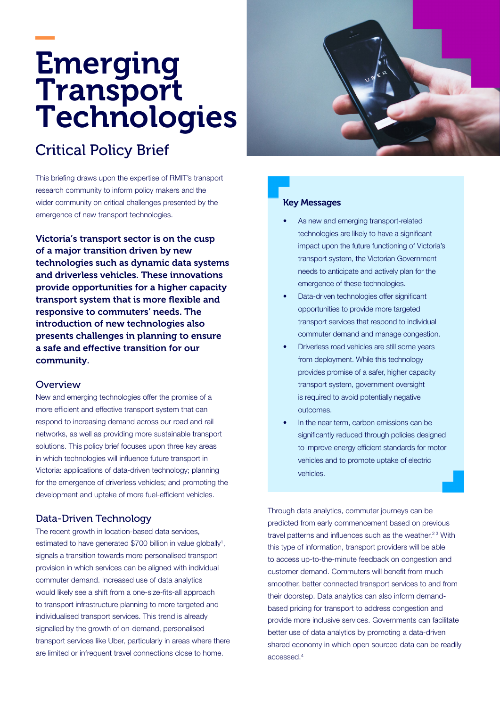# Emerging Transport Technologies

# Critical Policy Brief

This briefing draws upon the expertise of RMIT's transport research community to inform policy makers and the wider community on critical challenges presented by the emergence of new transport technologies.

Victoria's transport sector is on the cusp of a major transition driven by new technologies such as dynamic data systems and driverless vehicles. These innovations provide opportunities for a higher capacity transport system that is more flexible and responsive to commuters' needs. The introduction of new technologies also presents challenges in planning to ensure a safe and effective transition for our community.

#### Overview

New and emerging technologies offer the promise of a more efficient and effective transport system that can respond to increasing demand across our road and rail networks, as well as providing more sustainable transport solutions. This policy brief focuses upon three key areas in which technologies will influence future transport in Victoria: applications of data-driven technology; planning for the emergence of driverless vehicles; and promoting the development and uptake of more fuel-efficient vehicles.

#### Data-Driven Technology

The recent growth in location-based data services, estimated to have generated \$700 billion in value globally<sup>1</sup>, signals a transition towards more personalised transport provision in which services can be aligned with individual commuter demand. Increased use of data analytics would likely see a shift from a one-size-fits-all approach to transport infrastructure planning to more targeted and individualised transport services. This trend is already signalled by the growth of on-demand, personalised transport services like Uber, particularly in areas where there are limited or infrequent travel connections close to home.



#### Key Messages

- As new and emerging transport-related technologies are likely to have a significant impact upon the future functioning of Victoria's transport system, the Victorian Government needs to anticipate and actively plan for the emergence of these technologies.
- Data-driven technologies offer significant opportunities to provide more targeted transport services that respond to individual commuter demand and manage congestion.
- Driverless road vehicles are still some years from deployment. While this technology provides promise of a safer, higher capacity transport system, government oversight is required to avoid potentially negative outcomes.
- In the near term, carbon emissions can be significantly reduced through policies designed to improve energy efficient standards for motor vehicles and to promote uptake of electric vehicles.

Through data analytics, commuter journeys can be predicted from early commencement based on previous travel patterns and influences such as the weather.<sup>23</sup> With this type of information, transport providers will be able to access up-to-the-minute feedback on congestion and customer demand. Commuters will benefit from much smoother, better connected transport services to and from their doorstep. Data analytics can also inform demandbased pricing for transport to address congestion and provide more inclusive services. Governments can facilitate better use of data analytics by promoting a data-driven shared economy in which open sourced data can be readily accessed.4